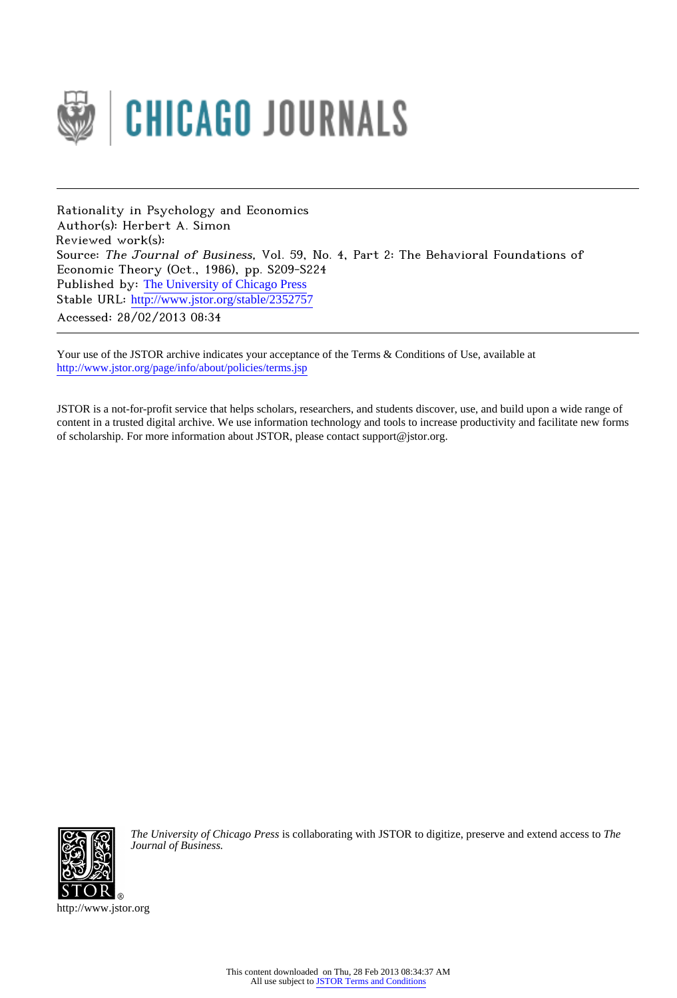

Rationality in Psychology and Economics Author(s): Herbert A. Simon Reviewed work(s): Source: The Journal of Business, Vol. 59, No. 4, Part 2: The Behavioral Foundations of Economic Theory (Oct., 1986), pp. S209-S224 Published by: [The University of Chicago Press](http://www.jstor.org/action/showPublisher?publisherCode=ucpress) Stable URL: [http://www.jstor.org/stable/2352757](http://www.jstor.org/stable/2352757?origin=JSTOR-pdf) Accessed: 28/02/2013 08:34

Your use of the JSTOR archive indicates your acceptance of the Terms & Conditions of Use, available at <http://www.jstor.org/page/info/about/policies/terms.jsp>

JSTOR is a not-for-profit service that helps scholars, researchers, and students discover, use, and build upon a wide range of content in a trusted digital archive. We use information technology and tools to increase productivity and facilitate new forms of scholarship. For more information about JSTOR, please contact support@jstor.org.



*The University of Chicago Press* is collaborating with JSTOR to digitize, preserve and extend access to *The Journal of Business.*

http://www.jstor.org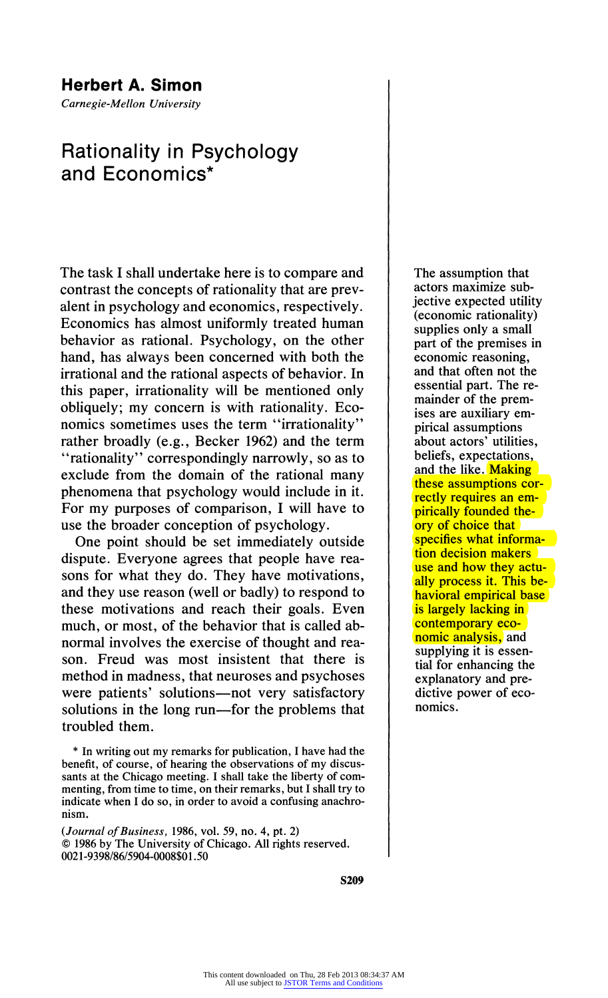**Carnegie-Mellon University** 

# **Rationality in Psychology and Economics\***

**The task I shall undertake here is to compare and contrast the concepts of rationality that are prevalent in psychology and economics, respectively. Economics has almost uniformly treated human behavior as rational. Psychology, on the other hand, has always been concerned with both the irrational and the rational aspects of behavior. In this paper, irrationality will be mentioned only obliquely; my concern is with rationality. Economics sometimes uses the term "irrationality" rather broadly (e.g., Becker 1962) and the term "rationality" correspondingly narrowly, so as to exclude from the domain of the rational many phenomena that psychology would include in it. For my purposes of comparison, I will have to use the broader conception of psychology.** 

**One point should be set immediately outside dispute. Everyone agrees that people have reasons for what they do. They have motivations, and they use reason (well or badly) to respond to these motivations and reach their goals. Even much, or most, of the behavior that is called abnormal involves the exercise of thought and reason. Freud was most insistent that there is method in madness, that neuroses and psychoses were patients' solutions-not very satisfactory**  solutions in the long run—for the problems that **troubled them.** 

**\* In writing out my remarks for publication, I have had the benefit, of course, of hearing the observations of my discussants at the Chicago meeting. I shall take the liberty of commenting, from time to time, on their remarks, but I shall try to indicate when I do so, in order to avoid a confusing anachronism.** 

**(Journal of Business, 1986, vol. 59, no. 4, pt. 2) ? 1986 by The University of Chicago. All rights reserved. 0021-9398/86/5904-0008\$01 .50** 

**S209** 

**The assumption that actors maximize subjective expected utility (economic rationality) supplies only a small part of the premises in economic reasoning, and that often not the essential part. The remainder of the premises are auxiliary empirical assumptions about actors' utilities, beliefs, expectations, and the like. Making these assumptions correctly requires an empirically founded theory of choice that specifies what information decision makers use and how they actually process it. This behavioral empirical base is largely lacking in contemporary economic analysis, and supplying it is essential for enhancing the explanatory and predictive power of economics.**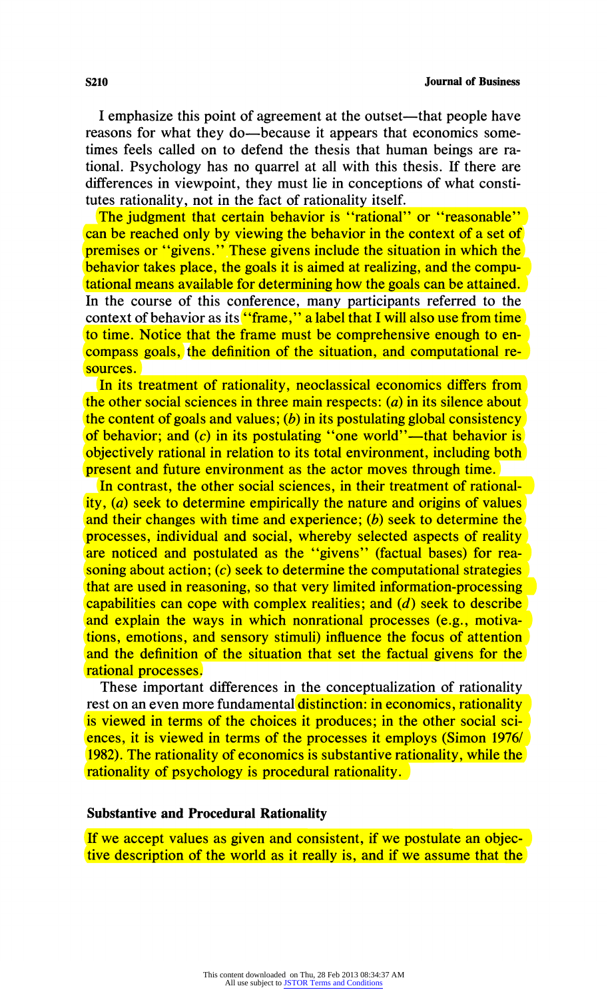I emphasize this point of agreement at the outset—that people have reasons for what they do—because it appears that economics some**times feels called on to defend the thesis that human beings are rational. Psychology has no quarrel at all with this thesis. If there are differences in viewpoint, they must lie in conceptions of what constitutes rationality, not in the fact of rationality itself.** 

**The judgment that certain behavior is "rational" or "reasonable" can be reached only by viewing the behavior in the context of a set of premises or "givens." These givens include the situation in which the behavior takes place, the goals it is aimed at realizing, and the computational means available for determining how the goals can be attained. In the course of this conference, many participants referred to the context of behavior as its "frame," a label that I will also use from time to time. Notice that the frame must be comprehensive enough to encompass goals, the definition of the situation, and computational resources.** 

**In its treatment of rationality, neoclassical economics differs from the other social sciences in three main respects: (a) in its silence about the content of goals and values; (b) in its postulating global consistency of behavior; and (c) in its postulating "one world"-that behavior is objectively rational in relation to its total environment, including both present and future environment as the actor moves through time.** 

**In contrast, the other social sciences, in their treatment of rationality, (a) seek to determine empirically the nature and origins of values and their changes with time and experience; (b) seek to determine the processes, individual and social, whereby selected aspects of reality are noticed and postulated as the "givens" (factual bases) for reasoning about action; (c) seek to determine the computational strategies that are used in reasoning, so that very limited information-processing capabilities can cope with complex realities; and (d) seek to describe and explain the ways in which nonrational processes (e.g., motivations, emotions, and sensory stimuli) influence the focus of attention and the definition of the situation that set the factual givens for the rational processes.** 

**These important differences in the conceptualization of rationality rest on an even more fundamental distinction: in economics, rationality is viewed in terms of the choices it produces; in the other social sciences, it is viewed in terms of the processes it employs (Simon 1976/ 1982). The rationality of economics is substantive rationality, while the rationality of psychology is procedural rationality.** 

#### **Substantive and Procedural Rationality**

**If we accept values as given and consistent, if we postulate an objective description of the world as it really is, and if we assume that the**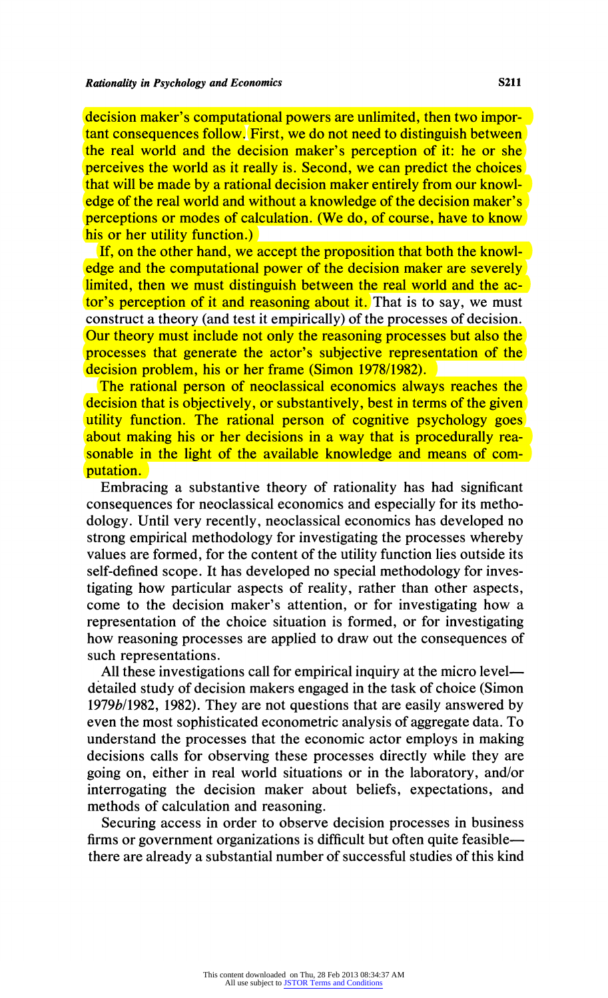**decision maker's computational powers are unlimited, then two important consequences follow. First, we do not need to distinguish between the real world and the decision maker's perception of it: he or she perceives the world as it really is. Second, we can predict the choices that will be made by a rational decision maker entirely from our knowledge of the real world and without a knowledge of the decision maker's perceptions or modes of calculation. (We do, of course, have to know his or her utility function.)** 

**If, on the other hand, we accept the proposition that both the knowledge and the computational power of the decision maker are severely limited, then we must distinguish between the real world and the actor's perception of it and reasoning about it. That is to say, we must construct a theory (and test it empirically) of the processes of decision. Our theory must include not only the reasoning processes but also the processes that generate the actor's subjective representation of the decision problem, his or her frame (Simon 1978/1982).** 

**The rational person of neoclassical economics always reaches the decision that is objectively, or substantively, best in terms of the given utility function. The rational person of cognitive psychology goes about making his or her decisions in a way that is procedurally reasonable in the light of the available knowledge and means of computation.** 

**Embracing a substantive theory of rationality has had significant consequences for neoclassical economics and especially for its methodology. Until very recently, neoclassical economics has developed no strong empirical methodology for investigating the processes whereby values are formed, for the content of the utility function lies outside its self-defined scope. It has developed no special methodology for investigating how particular aspects of reality, rather than other aspects, come to the decision maker's attention, or for investigating how a representation of the choice situation is formed, or for investigating how reasoning processes are applied to draw out the consequences of such representations.** 

**All these investigations call for empirical inquiry at the micro leveldetailed study of decision makers engaged in the task of choice (Simon 1979b/1982, 1982). They are not questions that are easily answered by even the most sophisticated econometric analysis of aggregate data. To understand the processes that the economic actor employs in making decisions calls for observing these processes directly while they are going on, either in real world situations or in the laboratory, and/or interrogating the decision maker about beliefs, expectations, and methods of calculation and reasoning.** 

**Securing access in order to observe decision processes in business firms or government organizations is difficult but often quite feasiblethere are already a substantial number of successful studies of this kind**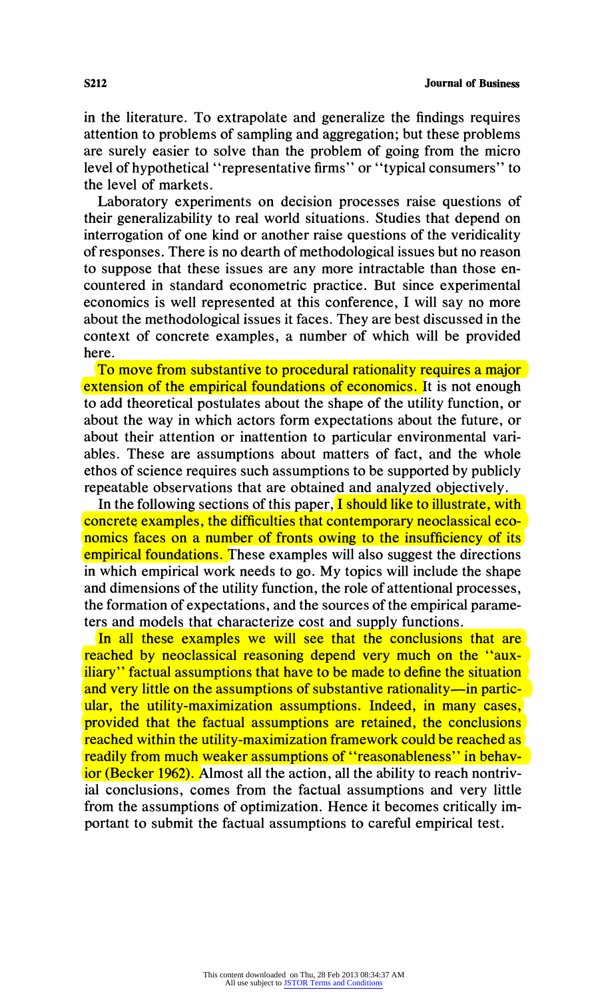**in the literature. To extrapolate and generalize the findings requires attention to problems of sampling and aggregation; but these problems are surely easier to solve than the problem of going from the micro level of hypothetical "representative firms" or "typical consumers" to the level of markets.** 

**Laboratory experiments on decision processes raise questions of their generalizability to real world situations. Studies that depend on interrogation of one kind or another raise questions of the veridicality of responses. There is no dearth of methodological issues but no reason to suppose that these issues are any more intractable than those encountered in standard econometric practice. But since experimental economics is well represented at this conference, I will say no more about the methodological issues it faces. They are best discussed in the context of concrete examples, a number of which will be provided here.** 

**To move from substantive to procedural rationality requires a major extension of the empirical foundations of economics. It is not enough to add theoretical postulates about the shape of the utility function, or about the way in which actors form expectations about the future, or about their attention or inattention to particular environmental variables. These are assumptions about matters of fact, and the whole ethos of science requires such assumptions to be supported by publicly repeatable observations that are obtained and analyzed objectively.** 

**In the following sections of this paper, I should like to illustrate, with concrete examples, the difficulties that contemporary neoclassical economics faces on a number of fronts owing to the insufficiency of its empirical foundations. These examples will also suggest the directions in which empirical work needs to go. My topics will include the shape and dimensions of the utility function, the role of attentional processes, the formation of expectations, and the sources of the empirical parameters and models that characterize cost and supply functions.** 

**In all these examples we will see that the conclusions that are reached by neoclassical reasoning depend very much on the "auxiliary" factual assumptions that have to be made to define the situation**  and very little on the assumptions of substantive rationality—in partic**ular, the utility-maximization assumptions. Indeed, in many cases, provided that the factual assumptions are retained, the conclusions reached within the utility-maximization framework could be reached as readily from much weaker assumptions of "reasonableness" in behavior (Becker 1962). Almost all the action, all the ability to reach nontrivial conclusions, comes from the factual assumptions and very little from the assumptions of optimization. Hence it becomes critically important to submit the factual assumptions to careful empirical test.**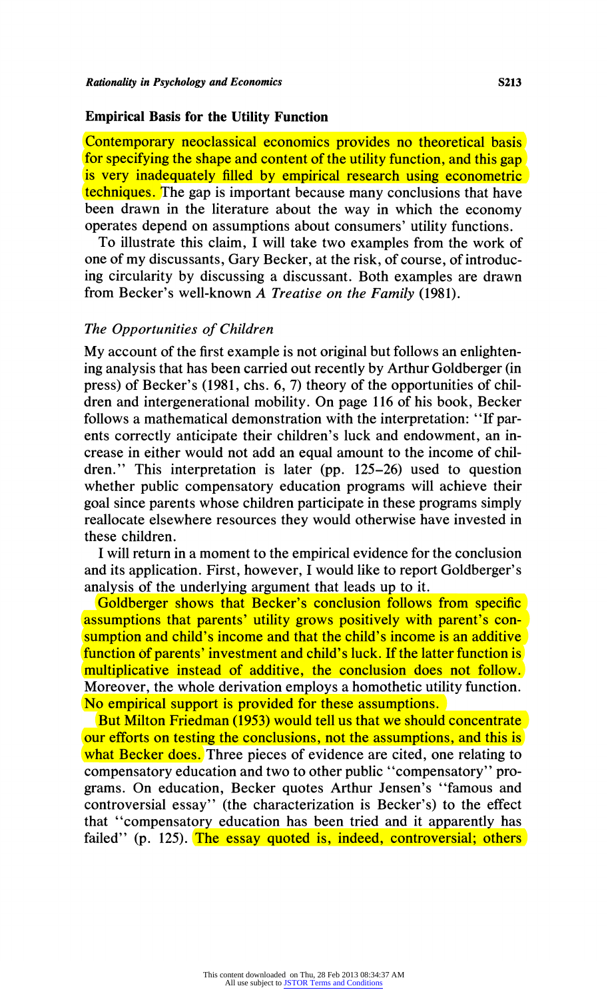#### **Empirical Basis for the Utility Function**

**Contemporary neoclassical economics provides no theoretical basis for specifying the shape and content of the utility function, and this gap is very inadequately filled by empirical research using econometric techniques. The gap is important because many conclusions that have been drawn in the literature about the way in which the economy operates depend on assumptions about consumers' utility functions.** 

**To illustrate this claim, I will take two examples from the work of one of my discussants, Gary Becker, at the risk, of course, of introducing circularity by discussing a discussant. Both examples are drawn from Becker's well-known A Treatise on the Family (1981).** 

## **The Opportunities of Children**

**My account of the first example is not original but follows an enlightening analysis that has been carried out recently by Arthur Goldberger (in press) of Becker's (1981, chs. 6, 7) theory of the opportunities of children and intergenerational mobility. On page 116 of his book, Becker follows a mathematical demonstration with the interpretation: "If parents correctly anticipate their children's luck and endowment, an increase in either would not add an equal amount to the income of children." This interpretation is later (pp. 125-26) used to question whether public compensatory education programs will achieve their goal since parents whose children participate in these programs simply reallocate elsewhere resources they would otherwise have invested in these children.** 

**I will return in a moment to the empirical evidence for the conclusion and its application. First, however, I would like to report Goldberger's analysis of the underlying argument that leads up to it.** 

**Goldberger shows that Becker's conclusion follows from specific assumptions that parents' utility grows positively with parent's consumption and child's income and that the child's income is an additive function of parents' investment and child's luck. If the latter function is multiplicative instead of additive, the conclusion does not follow. Moreover, the whole derivation employs a homothetic utility function. No empirical support is provided for these assumptions.** 

**But Milton Friedman (1953) would tell us that we should concentrate our efforts on testing the conclusions, not the assumptions, and this is what Becker does. Three pieces of evidence are cited, one relating to compensatory education and two to other public "compensatory" programs. On education, Becker quotes Arthur Jensen's "famous and controversial essay" (the characterization is Becker's) to the effect that "compensatory education has been tried and it apparently has failed" (p. 125). The essay quoted is, indeed, controversial; others**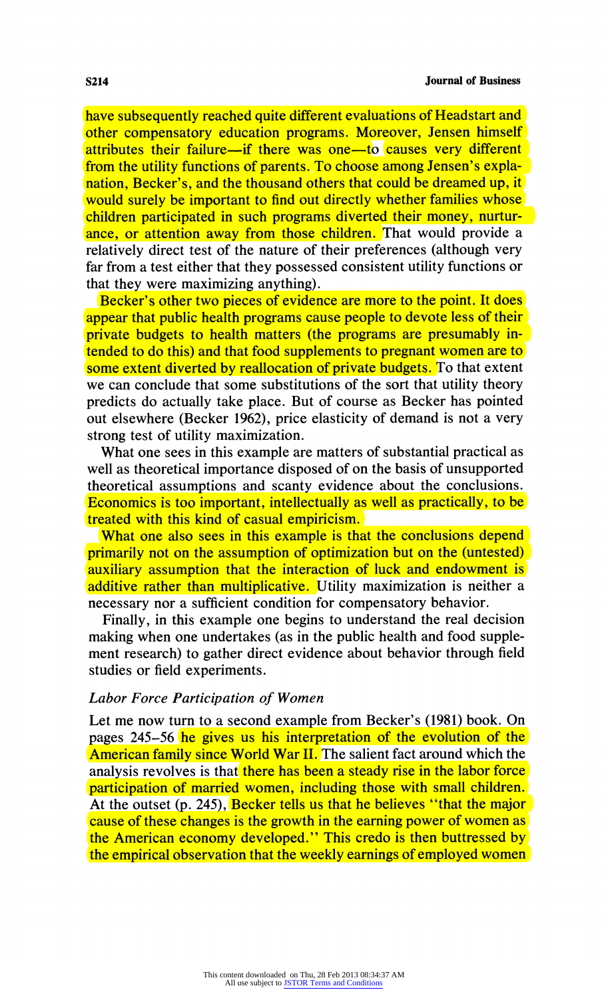**have subsequently reached quite different evaluations of Headstart and other compensatory education programs. Moreover, Jensen himself attributes their failure-if there was one-to causes very different from the utility functions of parents. To choose among Jensen's explanation, Becker's, and the thousand others that could be dreamed up, it would surely be important to find out directly whether families whose children participated in such programs diverted their money, nurturance, or attention away from those children. That would provide a relatively direct test of the nature of their preferences (although very far from a test either that they possessed consistent utility functions or that they were maximizing anything).** 

**Becker's other two pieces of evidence are more to the point. It does appear that public health programs cause people to devote less of their private budgets to health matters (the programs are presumably intended to do this) and that food supplements to pregnant women are to some extent diverted by reallocation of private budgets. To that extent we can conclude that some substitutions of the sort that utility theory predicts do actually take place. But of course as Becker has pointed out elsewhere (Becker 1962), price elasticity of demand is not a very strong test of utility maximization.** 

**What one sees in this example are matters of substantial practical as well as theoretical importance disposed of on the basis of unsupported theoretical assumptions and scanty evidence about the conclusions. Economics is too important, intellectually as well as practically, to be treated with this kind of casual empiricism.** 

**What one also sees in this example is that the conclusions depend primarily not on the assumption of optimization but on the (untested) auxiliary assumption that the interaction of luck and endowment is additive rather than multiplicative. Utility maximization is neither a necessary nor a sufficient condition for compensatory behavior.** 

**Finally, in this example one begins to understand the real decision making when one undertakes (as in the public health and food supplement research) to gather direct evidence about behavior through field studies or field experiments.** 

# **Labor Force Participation of Women**

**Let me now turn to a second example from Becker's (1981) book. On pages 245-56 he gives us his interpretation of the evolution of the American family since World War II. The salient fact around which the analysis revolves is that there has been a steady rise in the labor force participation of married women, including those with small children. At the outset (p. 245), Becker tells us that he believes "that the major cause of these changes is the growth in the earning power of women as the American economy developed." This credo is then buttressed by the empirical observation that the weekly earnings of employed women**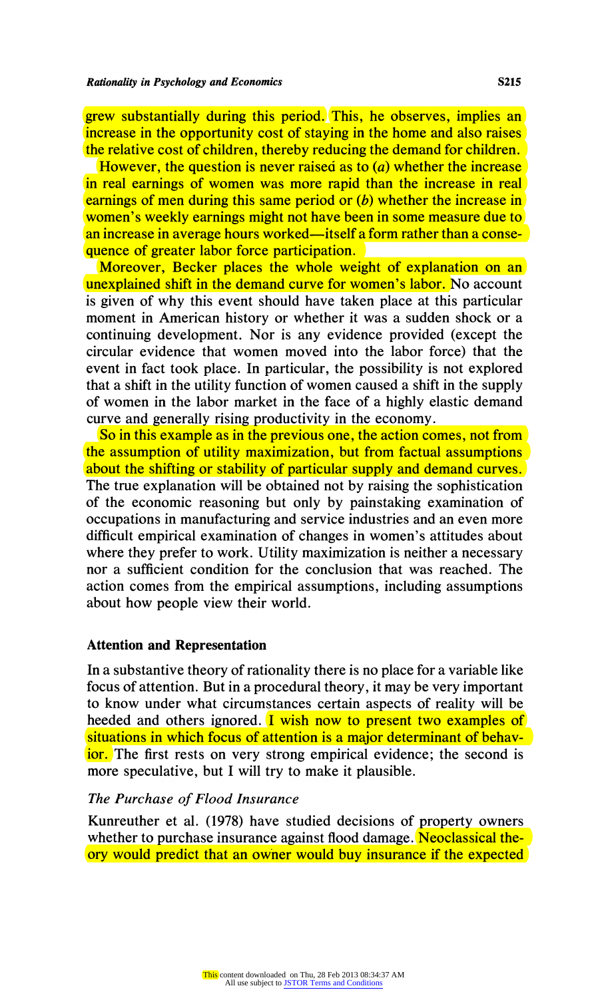**grew substantially during this period. This, he observes, implies an increase in the opportunity cost of staying in the home and also raises the relative cost of children, thereby reducing the demand for children.** 

**However, the question is never raised as to (a) whether the increase in real earnings of women was more rapid than the increase in real earnings of men during this same period or (b) whether the increase in women's weekly earnings might not have been in some measure due to an increase in average hours worked-itself a form rather than a consequence of greater labor force participation.** 

**Moreover, Becker places the whole weight of explanation on an unexplained shift in the demand curve for women's labor. No account is given of why this event should have taken place at this particular moment in American history or whether it was a sudden shock or a continuing development. Nor is any evidence provided (except the circular evidence that women moved into the labor force) that the event in fact took place. In particular, the possibility is not explored that a shift in the utility function of women caused a shift in the supply of women in the labor market in the face of a highly elastic demand curve and generally rising productivity in the economy.** 

**So in this example as in the previous one, the action comes, not from the assumption of utility maximization, but from factual assumptions about the shifting or stability of particular supply and demand curves. The true explanation will be obtained not by raising the sophistication of the economic reasoning but only by painstaking examination of occupations in manufacturing and service industries and an even more difficult empirical examination of changes in women's attitudes about where they prefer to work. Utility maximization is neither a necessary nor a sufficient condition for the conclusion that was reached. The action comes from the empirical assumptions, including assumptions about how people view their world.** 

## **Attention and Representation**

**In a substantive theory of rationality there is no place for a variable like focus of attention. But in a procedural theory, it may be very important to know under what circumstances certain aspects of reality will be heeded and others ignored. I wish now to present two examples of situations in which focus of attention is a major determinant of behavior. The first rests on very strong empirical evidence; the second is more speculative, but I will try to make it plausible.** 

# **The Purchase of Flood Insurance**

**Kunreuther et al. (1978) have studied decisions of property owners whether to purchase insurance against flood damage. Neoclassical the-<u>ory would predict that an owner would buy insurance if the expected</u>**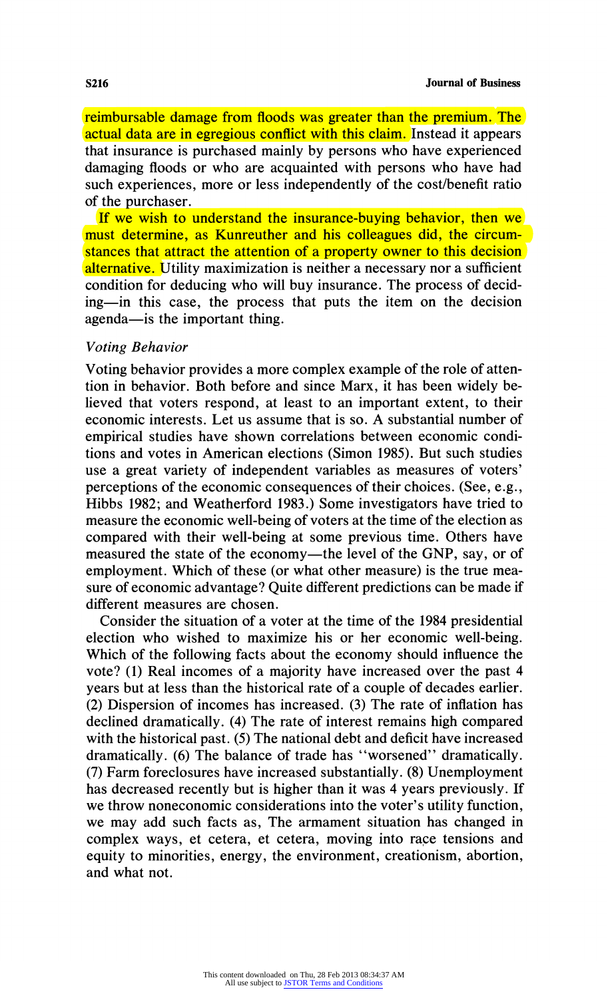**reimbursable damage from floods was greater than the premium. The actual data are in egregious conflict with this claim. Instead it appears that insurance is purchased mainly by persons who have experienced damaging floods or who are acquainted with persons who have had such experiences, more or less independently of the cost/benefit ratio of the purchaser.** 

**If we wish to understand the insurance-buying behavior, then we must determine, as Kunreuther and his colleagues did, the circumstances that attract the attention of a property owner to this decision alternative. Utility maximization is neither a necessary nor a sufficient condition for deducing who will buy insurance. The process of deciding-in this case, the process that puts the item on the decision agenda-is the important thing.** 

### **Voting Behavior**

**Voting behavior provides a more complex example of the role of attention in behavior. Both before and since Marx, it has been widely believed that voters respond, at least to an important extent, to their economic interests. Let us assume that is so. A substantial number of empirical studies have shown correlations between economic conditions and votes in American elections (Simon 1985). But such studies use a great variety of independent variables as measures of voters' perceptions of the economic consequences of their choices. (See, e.g., Hibbs 1982; and Weatherford 1983.) Some investigators have tried to measure the economic well-being of voters at the time of the election as compared with their well-being at some previous time. Others have**  measured the state of the economy-the level of the GNP, say, or of **employment. Which of these (or what other measure) is the true measure of economic advantage? Quite different predictions can be made if different measures are chosen.** 

**Consider the situation of a voter at the time of the 1984 presidential election who wished to maximize his or her economic well-being. Which of the following facts about the economy should influence the vote? (1) Real incomes of a majority have increased over the past 4 years but at less than the historical rate of a couple of decades earlier. (2) Dispersion of incomes has increased. (3) The rate of inflation has declined dramatically. (4) The rate of interest remains high compared with the historical past. (5) The national debt and deficit have increased dramatically. (6) The balance of trade has "worsened" dramatically. (7) Farm foreclosures have increased substantially. (8) Unemployment has decreased recently but is higher than it was 4 years previously. If we throw noneconomic considerations into the voter's utility function, we may add such facts as, The armament situation has changed in complex ways, et cetera, et cetera, moving into race tensions and equity to minorities, energy, the environment, creationism, abortion, and what not.**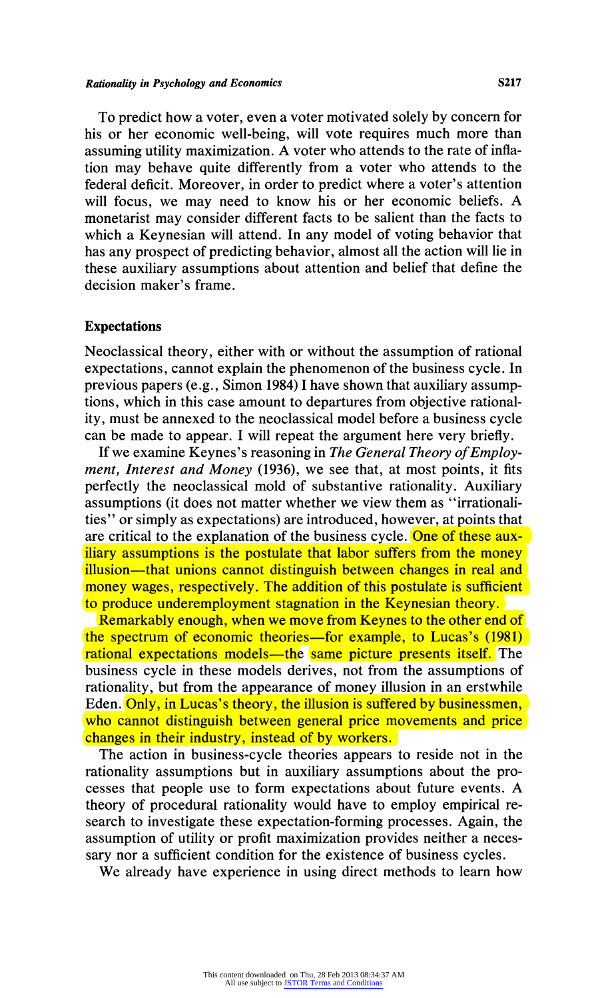**To predict how a voter, even a voter motivated solely by concern for his or her economic well-being, will vote requires much more than assuming utility maximization. A voter who attends to the rate of inflation may behave quite differently from a voter who attends to the federal deficit. Moreover, in order to predict where a voter's attention will focus, we may need to know his or her economic beliefs. A monetarist may consider different facts to be salient than the facts to which a Keynesian will attend. In any model of voting behavior that has any prospect of predicting behavior, almost all the action will lie in these auxiliary assumptions about attention and belief that define the decision maker's frame.** 

## **Expectations**

**Neoclassical theory, either with or without the assumption of rational expectations, cannot explain the phenomenon of the business cycle. In previous papers (e.g., Simon 1984) I have shown that auxiliary assumptions, which in this case amount to departures from objective rationality, must be annexed to the neoclassical model before a business cycle can be made to appear. I will repeat the argument here very briefly.** 

**If we examine Keynes's reasoning in The General Theory of Employment, Interest and Money (1936), we see that, at most points, it fits perfectly the neoclassical mold of substantive rationality. Auxiliary assumptions (it does not matter whether we view them as "irrationalities" or simply as expectations) are introduced, however, at points that are critical to the explanation of the business cycle. One of these auxiliary assumptions is the postulate that labor suffers from the money illusion—that unions cannot distinguish between changes in real and money wages, respectively. The addition of this postulate is sufficient to produce underemployment stagnation in the Keynesian theory.** 

**Remarkably enough, when we move from Keynes to the other end of the spectrum of economic theories-for example, to Lucas's (1981) rational expectations models—the same picture presents itself.** The **business cycle in these models derives, not from the assumptions of rationality, but from the appearance of money illusion in an erstwhile Eden. Only, in Lucas's theory, the illusion is suffered by businessmen, who cannot distinguish between general price movements and price changes in their industry, instead of by workers.** 

**The action in business-cycle theories appears to reside not in the rationality assumptions but in auxiliary assumptions about the processes that people use to form expectations about future events. A theory of procedural rationality would have to employ empirical research to investigate these expectation-forming processes. Again, the assumption of utility or profit maximization provides neither a necessary nor a sufficient condition for the existence of business cycles.** 

**We already have experience in using direct methods to learn how**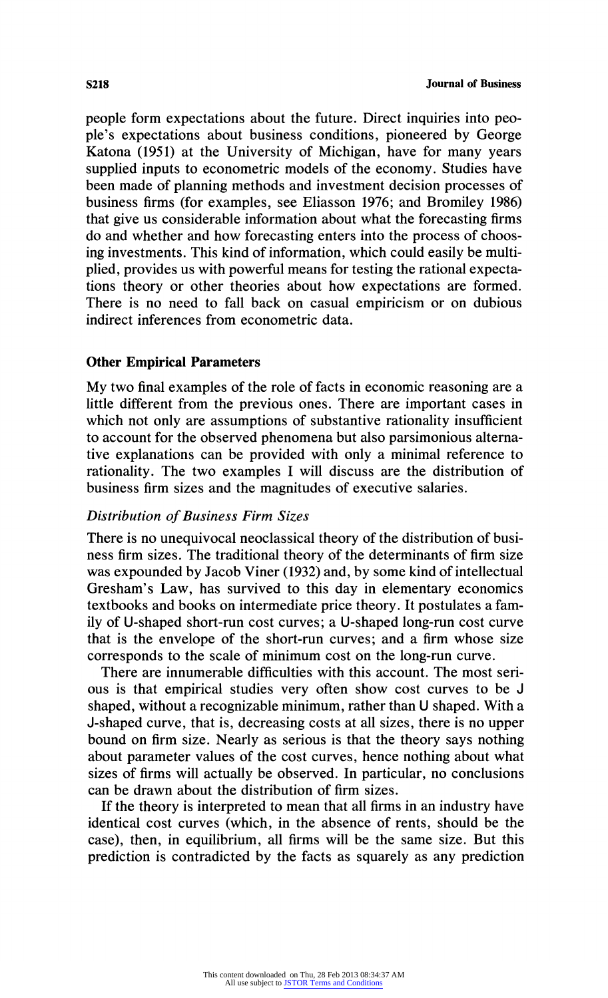**people form expectations about the future. Direct inquiries into people's expectations about business conditions, pioneered by George Katona (1951) at the University of Michigan, have for many years supplied inputs to econometric models of the economy. Studies have been made of planning methods and investment decision processes of business firms (for examples, see Eliasson 1976; and Bromiley 1986) that give us considerable information about what the forecasting firms do and whether and how forecasting enters into the process of choosing investments. This kind of information, which could easily be multiplied, provides us with powerful means for testing the rational expectations theory or other theories about how expectations are formed. There is no need to fall back on casual empiricism or on dubious indirect inferences from econometric data.** 

## **Other Empirical Parameters**

**My two final examples of the role of facts in economic reasoning are a little different from the previous ones. There are important cases in which not only are assumptions of substantive rationality insufficient to account for the observed phenomena but also parsimonious alternative explanations can be provided with only a minimal reference to rationality. The two examples I will discuss are the distribution of business firm sizes and the magnitudes of executive salaries.** 

# **Distribution of Business Firm Sizes**

**There is no unequivocal neoclassical theory of the distribution of business firm sizes. The traditional theory of the determinants of firm size was expounded by Jacob Viner (1932) and, by some kind of intellectual Gresham's Law, has survived to this day in elementary economics textbooks and books on intermediate price theory. It postulates a family of U-shaped short-run cost curves; a U-shaped long-run cost curve that is the envelope of the short-run curves; and a firm whose size corresponds to the scale of minimum cost on the long-run curve.** 

**There are innumerable difficulties with this account. The most serious is that empirical studies very often show cost curves to be J shaped, without a recognizable minimum, rather than U shaped. With a J-shaped curve, that is, decreasing costs at all sizes, there is no upper bound on firm size. Nearly as serious is that the theory says nothing about parameter values of the cost curves, hence nothing about what sizes of firms will actually be observed. In particular, no conclusions can be drawn about the distribution of firm sizes.** 

**If the theory is interpreted to mean that all firms in an industry have identical cost curves (which, in the absence of rents, should be the case), then, in equilibrium, all firms will be the same size. But this prediction is contradicted by the facts as squarely as any prediction**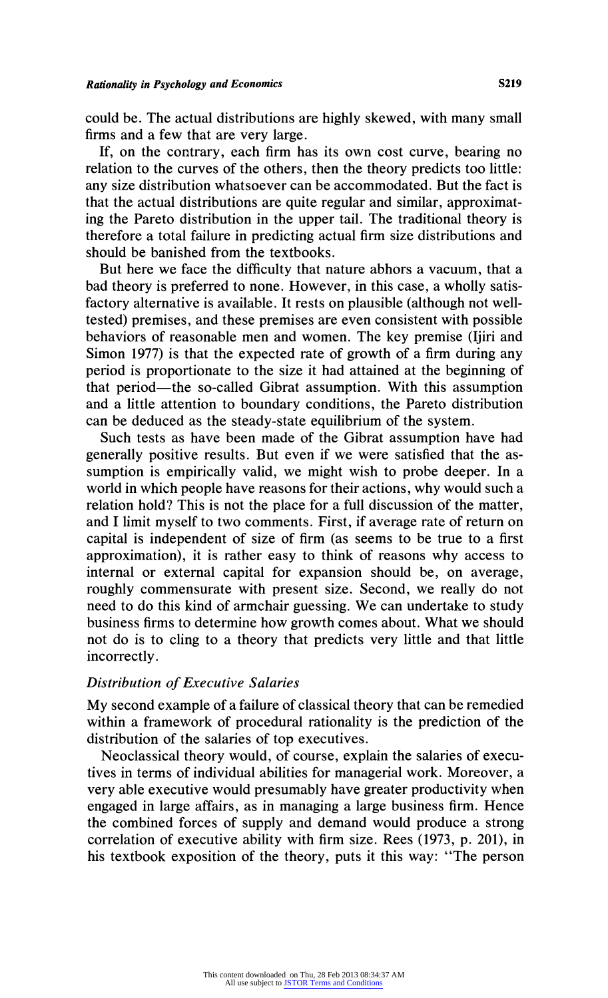**could be. The actual distributions are highly skewed, with many small firms and a few that are very large.** 

**If, on the contrary, each firm has its own cost curve, bearing no relation to the curves of the others, then the theory predicts too little: any size distribution whatsoever can be accommodated. But the fact is that the actual distributions are quite regular and similar, approximating the Pareto distribution in the upper tail. The traditional theory is therefore a total failure in predicting actual firm size distributions and should be banished from the textbooks.** 

**But here we face the difficulty that nature abhors a vacuum, that a bad theory is preferred to none. However, in this case, a wholly satisfactory alternative is available. It rests on plausible (although not welltested) premises, and these premises are even consistent with possible behaviors of reasonable men and women. The key premise (Ijiri and Simon 1977) is that the expected rate of growth of a firm during any period is proportionate to the size it had attained at the beginning of that period-the so-called Gibrat assumption. With this assumption and a little attention to boundary conditions, the Pareto distribution can be deduced as the steady-state equilibrium of the system.** 

**Such tests as have been made of the Gibrat assumption have had generally positive results. But even if we were satisfied that the assumption is empirically valid, we might wish to probe deeper. In a world in which people have reasons for their actions, why would such a relation hold? This is not the place for a full discussion of the matter, and I limit myself to two comments. First, if average rate of return on capital is independent of size of firm (as seems to be true to a first approximation), it is rather easy to think of reasons why access to internal or external capital for expansion should be, on average, roughly commensurate with present size. Second, we really do not need to do this kind of armchair guessing. We can undertake to study business firms to determine how growth comes about. What we should not do is to cling to a theory that predicts very little and that little incorrectly.** 

# **Distribution of Executive Salaries**

**My second example of a failure of classical theory that can be remedied within a framework of procedural rationality is the prediction of the distribution of the salaries of top executives.** 

**Neoclassical theory would, of course, explain the salaries of executives in terms of individual abilities for managerial work. Moreover, a very able executive would presumably have greater productivity when engaged in large affairs, as in managing a large business firm. Hence the combined forces of supply and demand would produce a strong correlation of executive ability with firm size. Rees (1973, p. 201), in his textbook exposition of the theory, puts it this way: "The person**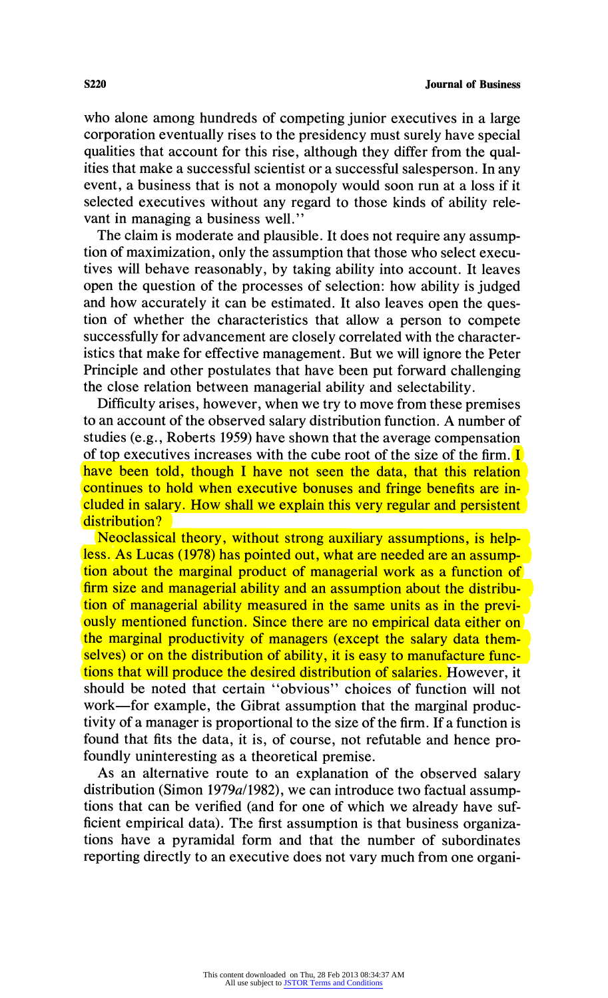**who alone among hundreds of competing junior executives in a large corporation eventually rises to the presidency must surely have special qualities that account for this rise, although they differ from the qualities that make a successful scientist or a successful salesperson. In any event, a business that is not a monopoly would soon run at a loss if it selected executives without any regard to those kinds of ability relevant in managing a business well."** 

**The claim is moderate and plausible. It does not require any assumption of maximization, only the assumption that those who select executives will behave reasonably, by taking ability into account. It leaves open the question of the processes of selection: how ability is judged and how accurately it can be estimated. It also leaves open the question of whether the characteristics that allow a person to compete successfully for advancement are closely correlated with the characteristics that make for effective management. But we will ignore the Peter Principle and other postulates that have been put forward challenging the close relation between managerial ability and selectability.** 

**Difficulty arises, however, when we try to move from these premises to an account of the observed salary distribution function. A number of studies (e.g., Roberts 1959) have shown that the average compensation of top executives increases with the cube root of the size of the firm. I have been told, though I have not seen the data, that this relation continues to hold when executive bonuses and fringe benefits are included in salary. How shall we explain this very regular and persistent distribution?** 

**Neoclassical theory, without strong auxiliary assumptions, is helpless. As Lucas (1978) has pointed out, what are needed are an assumption about the marginal product of managerial work as a function of firm size and managerial ability and an assumption about the distribution of managerial ability measured in the same units as in the previously mentioned function. Since there are no empirical data either on the marginal productivity of managers (except the salary data themselves) or on the distribution of ability, it is easy to manufacture functions that will produce the desired distribution of salaries. However, it should be noted that certain "obvious" choices of function will not work-for example, the Gibrat assumption that the marginal productivity of a manager is proportional to the size of the firm. If a function is found that fits the data, it is, of course, not refutable and hence profoundly uninteresting as a theoretical premise.** 

**As an alternative route to an explanation of the observed salary distribution (Simon 1979a/1982), we can introduce two factual assumptions that can be verified (and for one of which we already have sufficient empirical data). The first assumption is that business organizations have a pyramidal form and that the number of subordinates reporting directly to an executive does not vary much from one organi-**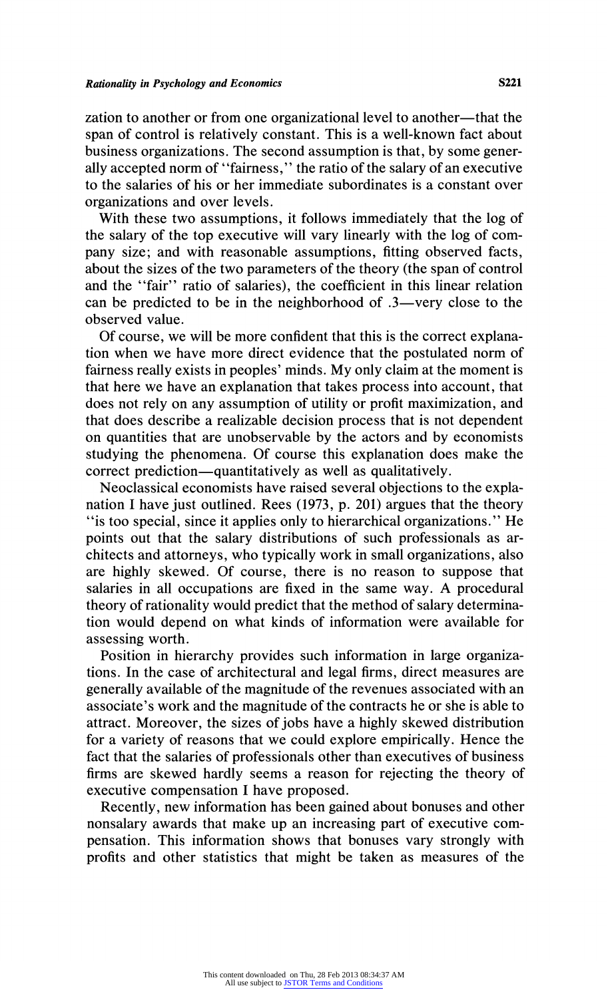zation to another or from one organizational level to another—that the **span of control is relatively constant. This is a well-known fact about business organizations. The second assumption is that, by some generally accepted norm of "fairness," the ratio of the salary of an executive to the salaries of his or her immediate subordinates is a constant over organizations and over levels.** 

**With these two assumptions, it follows immediately that the log of the salary of the top executive will vary linearly with the log of company size; and with reasonable assumptions, fitting observed facts, about the sizes of the two parameters of the theory (the span of control and the "fair" ratio of salaries), the coefficient in this linear relation**  can be predicted to be in the neighborhood of .3—very close to the **observed value.** 

**Of course, we will be more confident that this is the correct explanation when we have more direct evidence that the postulated norm of fairness really exists in peoples' minds. My only claim at the moment is that here we have an explanation that takes process into account, that does not rely on any assumption of utility or profit maximization, and that does describe a realizable decision process that is not dependent on quantities that are unobservable by the actors and by economists studying the phenomena. Of course this explanation does make the correct prediction-quantitatively as well as qualitatively.** 

**Neoclassical economists have raised several objections to the explanation I have just outlined. Rees (1973, p. 201) argues that the theory "is too special, since it applies only to hierarchical organizations." He points out that the salary distributions of such professionals as architects and attorneys, who typically work in small organizations, also are highly skewed. Of course, there is no reason to suppose that salaries in all occupations are fixed in the same way. A procedural theory of rationality would predict that the method of salary determination would depend on what kinds of information were available for assessing worth.** 

**Position in hierarchy provides such information in large organizations. In the case of architectural and legal firms, direct measures are generally available of the magnitude of the revenues associated with an associate's work and the magnitude of the contracts he or she is able to attract. Moreover, the sizes of jobs have a highly skewed distribution for a variety of reasons that we could explore empirically. Hence the fact that the salaries of professionals other than executives of business firms are skewed hardly seems a reason for rejecting the theory of executive compensation I have proposed.** 

**Recently, new information has been gained about bonuses and other nonsalary awards that make up an increasing part of executive compensation. This information shows that bonuses vary strongly with profits and other statistics that might be taken as measures of the**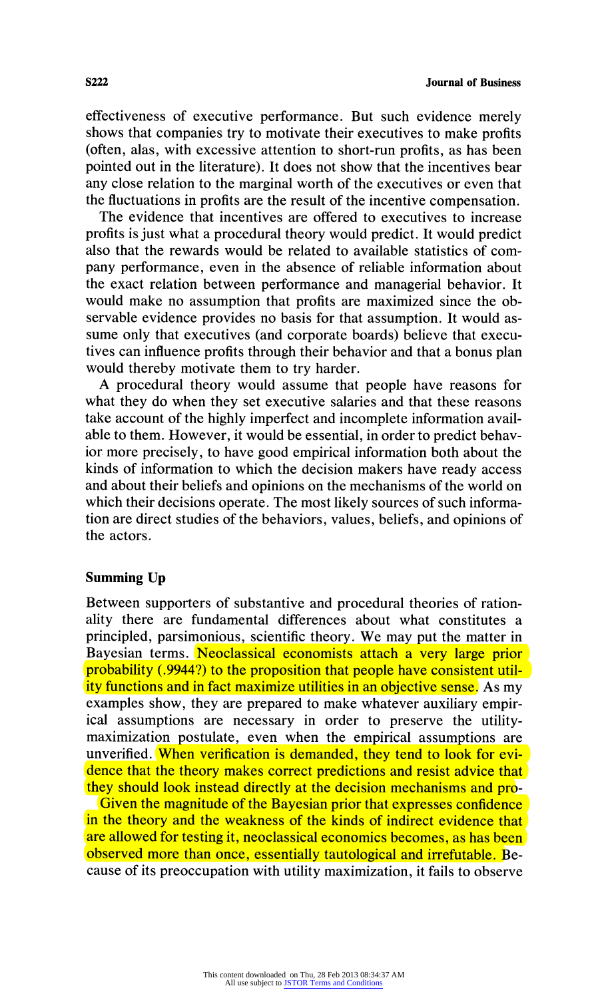**effectiveness of executive performance. But such evidence merely shows that companies try to motivate their executives to make profits (often, alas, with excessive attention to short-run profits, as has been pointed out in the literature). It does not show that the incentives bear any close relation to the marginal worth of the executives or even that the fluctuations in profits are the result of the incentive compensation.** 

**The evidence that incentives are offered to executives to increase profits is just what a procedural theory would predict. It would predict also that the rewards would be related to available statistics of company performance, even in the absence of reliable information about the exact relation between performance and managerial behavior. It would make no assumption that profits are maximized since the observable evidence provides no basis for that assumption. It would assume only that executives (and corporate boards) believe that executives can influence profits through their behavior and that a bonus plan would thereby motivate them to try harder.** 

**A procedural theory would assume that people have reasons for what they do when they set executive salaries and that these reasons take account of the highly imperfect and incomplete information available to them. However, it would be essential, in order to predict behavior more precisely, to have good empirical information both about the kinds of information to which the decision makers have ready access and about their beliefs and opinions on the mechanisms of the world on which their decisions operate. The most likely sources of such information are direct studies of the behaviors, values, beliefs, and opinions of the actors.** 

## **Summing Up**

**Between supporters of substantive and procedural theories of rationality there are fundamental differences about what constitutes a principled, parsimonious, scientific theory. We may put the matter in Bayesian terms. Neoclassical economists attach a very large prior probability (.9944?) to the proposition that people have consistent utility functions and in fact maximize utilities in an objective sense. As my examples show, they are prepared to make whatever auxiliary empirical assumptions are necessary in order to preserve the utilitymaximization postulate, even when the empirical assumptions are unverified. When verification is demanded, they tend to look for evidence that the theory makes correct predictions and resist advice that they should look instead directly at the decision mechanisms and pro-**

**Given the magnitude of the Bayesian prior that expresses confidence in the theory and the weakness of the kinds of indirect evidence that are allowed for testing it, neoclassical economics becomes, as has been observed more than once, essentially tautological and irrefutable. Because of its preoccupation with utility maximization, it fails to observe**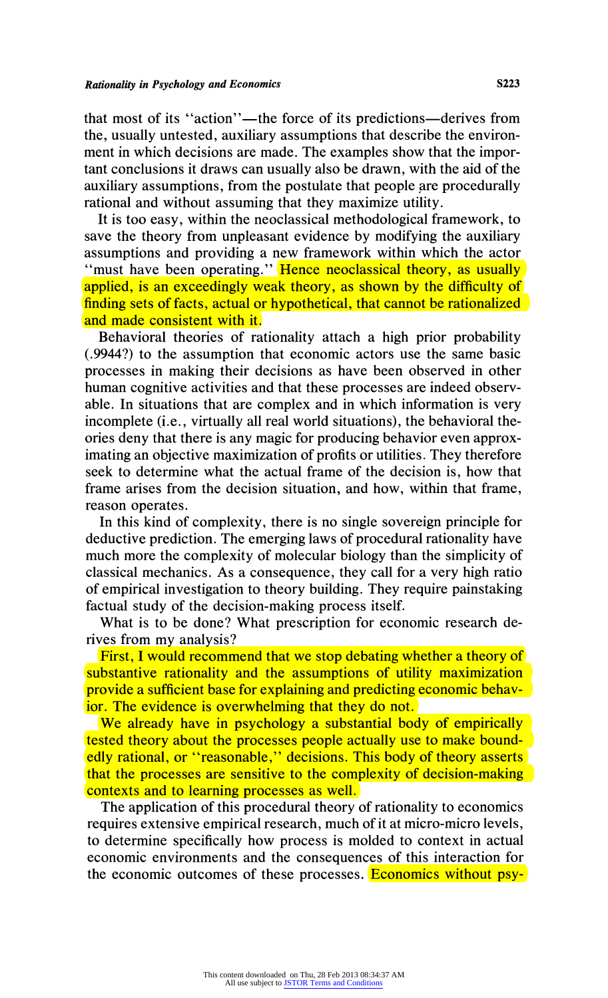that most of its "action"—the force of its predictions—derives from **the, usually untested, auxiliary assumptions that describe the environment in which decisions are made. The examples show that the important conclusions it draws can usually also be drawn, with the aid of the auxiliary assumptions, from the postulate that people are procedurally rational and without assuming that they maximize utility.** 

**It is too easy, within the neoclassical methodological framework, to save the theory from unpleasant evidence by modifying the auxiliary assumptions and providing a new framework within which the actor "must have been operating." Hence neoclassical theory, as usually applied, is an exceedingly weak theory, as shown by the difficulty of finding sets of facts, actual or hypothetical, that cannot be rationalized and made consistent with it.** 

**Behavioral theories of rationality attach a high prior probability (.9944?) to the assumption that economic actors use the same basic processes in making their decisions as have been observed in other human cognitive activities and that these processes are indeed observable. In situations that are complex and in which information is very incomplete (i.e., virtually all real world situations), the behavioral theories deny that there is any magic for producing behavior even approximating an objective maximization of profits or utilities. They therefore seek to determine what the actual frame of the decision is, how that frame arises from the decision situation, and how, within that frame, reason operates.** 

**In this kind of complexity, there is no single sovereign principle for deductive prediction. The emerging laws of procedural rationality have much more the complexity of molecular biology than the simplicity of classical mechanics. As a consequence, they call for a very high ratio of empirical investigation to theory building. They require painstaking factual study of the decision-making process itself.** 

**What is to be done? What prescription for economic research derives from my analysis?** 

**First, I would recommend that we stop debating whether a theory of substantive rationality and the assumptions of utility maximization provide a sufficient base for explaining and predicting economic behavior. The evidence is overwhelming that they do not.** 

**We already have in psychology a substantial body of empirically tested theory about the processes people actually use to make boundedly rational, or "reasonable," decisions. This body of theory asserts that the processes are sensitive to the complexity of decision-making contexts and to learning processes as well.** 

**The application of this procedural theory of rationality to economics requires extensive empirical research, much of it at micro-micro levels, to determine specifically how process is molded to context in actual economic environments and the consequences of this interaction for the economic outcomes of these processes. Economics without psy-**